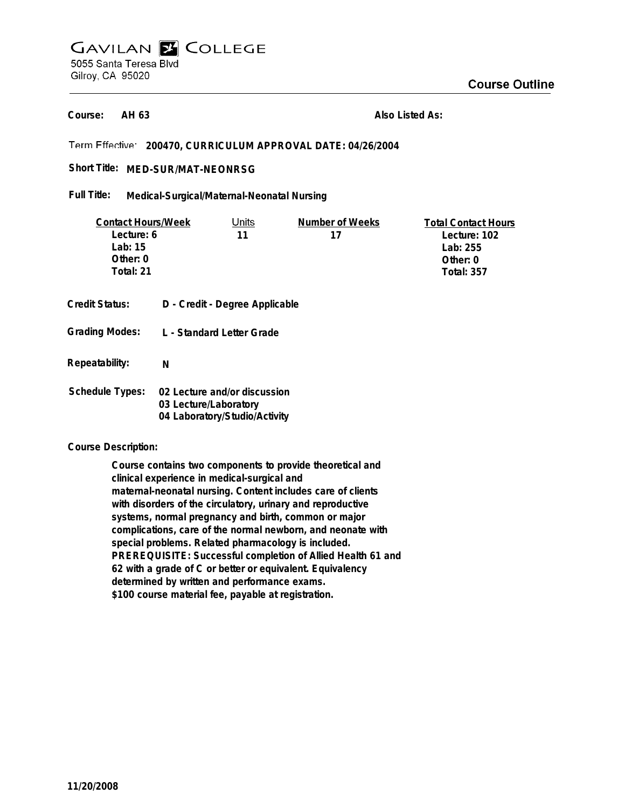# **GAVILAN E COLLEGE** 5055 Santa Teresa Blvd Gilroy, CA 95020

**AH 63 Course:**

**Also Listed As:**

# **200470, CURRICULUM APPROVAL DATE: 04/26/2004**

## Short Title: MED-SUR/MAT-NEONRSG

#### **Medical-Surgical/Maternal-Neonatal Nursing Full Title:**

| <b>Contact Hours/Week</b> |                                  | Units | Number of Weeks | <b>Total Contact Hours</b> |
|---------------------------|----------------------------------|-------|-----------------|----------------------------|
| Lecture: 6                |                                  | 11    | 17              | Lecture: 102               |
| Lab: $15$                 |                                  |       |                 | Lab: 255                   |
| Other: 0                  |                                  |       |                 | Other: $0$                 |
| Total: 21                 |                                  |       |                 | <b>Total: 357</b>          |
|                           |                                  |       |                 |                            |
| <b>Credit Status:</b>     | D - Credit - Degree Applicable   |       |                 |                            |
| <b>Grading Modes:</b>     | <b>L</b> - Standard Letter Grade |       |                 |                            |
|                           |                                  |       |                 |                            |
| Repeatability:            | N                                |       |                 |                            |
|                           |                                  |       |                 |                            |
| <b>Schedule Types:</b>    | 02 Lecture and/or discussion     |       |                 |                            |
|                           | 03 Lecture/Laboratory            |       |                 |                            |
|                           | 04 Laboratory/Studio/Activity    |       |                 |                            |

### **Course Description:**

**Course contains two components to provide theoretical and clinical experience in medical-surgical and maternal-neonatal nursing. Content includes care of clients with disorders of the circulatory, urinary and reproductive systems, normal pregnancy and birth, common or major complications, care of the normal newborn, and neonate with special problems. Related pharmacology is included. PREREQUISITE: Successful completion of Allied Health 61 and 62 with a grade of C or better or equivalent. Equivalency determined by written and performance exams. \$100 course material fee, payable at registration.**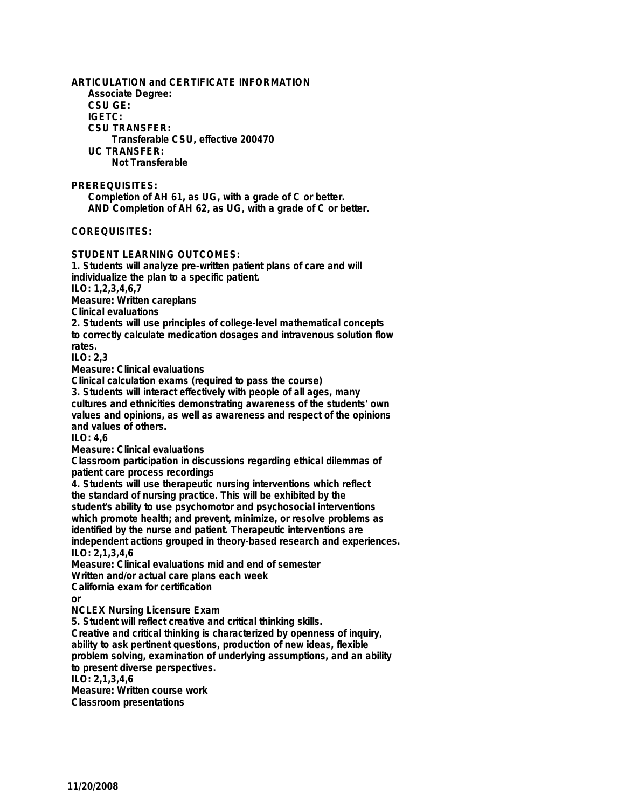**ARTICULATION and CERTIFICATE INFORMATION Associate Degree: CSU GE: IGETC: CSU TRANSFER: Transferable CSU, effective 200470 UC TRANSFER: Not Transferable PREREQUISITES: Completion of AH 61, as UG, with a grade of C or better. AND Completion of AH 62, as UG, with a grade of C or better. COREQUISITES: STUDENT LEARNING OUTCOMES: 1. Students will analyze pre-written patient plans of care and will individualize the plan to a specific patient. ILO: 1,2,3,4,6,7 Measure: Written careplans Clinical evaluations 2. Students will use principles of college-level mathematical concepts to correctly calculate medication dosages and intravenous solution flow rates. ILO: 2,3 Measure: Clinical evaluations Clinical calculation exams (required to pass the course) 3. Students will interact effectively with people of all ages, many cultures and ethnicities demonstrating awareness of the students' own values and opinions, as well as awareness and respect of the opinions and values of others. ILO: 4,6 Measure: Clinical evaluations Classroom participation in discussions regarding ethical dilemmas of patient care process recordings 4. Students will use therapeutic nursing interventions which reflect the standard of nursing practice. This will be exhibited by the student's ability to use psychomotor and psychosocial interventions which promote health; and prevent, minimize, or resolve problems as identified by the nurse and patient. Therapeutic interventions are independent actions grouped in theory-based research and experiences. ILO: 2,1,3,4,6 Measure: Clinical evaluations mid and end of semester Written and/or actual care plans each week California exam for certification or NCLEX Nursing Licensure Exam 5. Student will reflect creative and critical thinking skills. Creative and critical thinking is characterized by openness of inquiry, ability to ask pertinent questions, production of new ideas, flexible problem solving, examination of underlying assumptions, and an ability to present diverse perspectives. ILO: 2,1,3,4,6 Measure: Written course work Classroom presentations**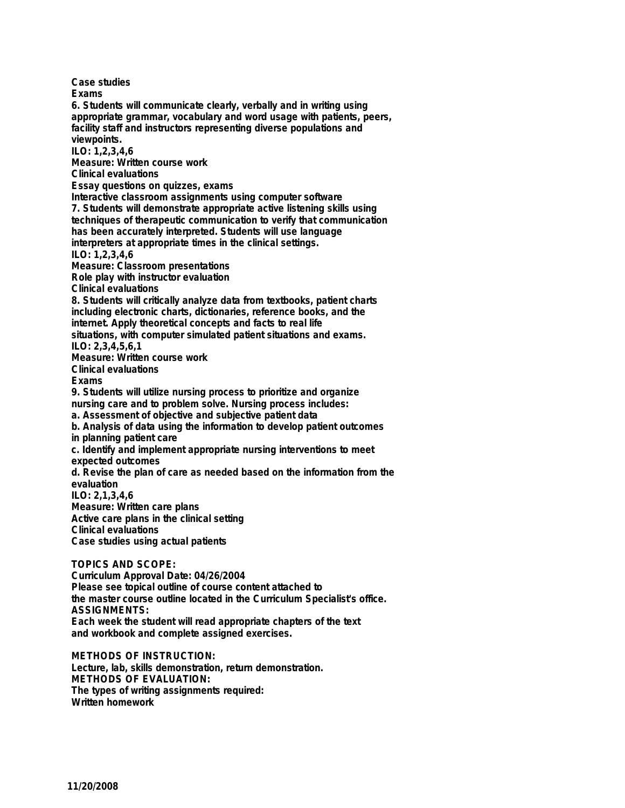**Case studies Exams 6. Students will communicate clearly, verbally and in writing using appropriate grammar, vocabulary and word usage with patients, peers, facility staff and instructors representing diverse populations and viewpoints. ILO: 1,2,3,4,6 Measure: Written course work Clinical evaluations Essay questions on quizzes, exams Interactive classroom assignments using computer software 7. Students will demonstrate appropriate active listening skills using techniques of therapeutic communication to verify that communication has been accurately interpreted. Students will use language interpreters at appropriate times in the clinical settings. ILO: 1,2,3,4,6 Measure: Classroom presentations Role play with instructor evaluation Clinical evaluations 8. Students will critically analyze data from textbooks, patient charts including electronic charts, dictionaries, reference books, and the internet. Apply theoretical concepts and facts to real life situations, with computer simulated patient situations and exams. ILO: 2,3,4,5,6,1 Measure: Written course work Clinical evaluations Exams 9. Students will utilize nursing process to prioritize and organize nursing care and to problem solve. Nursing process includes: a. Assessment of objective and subjective patient data b. Analysis of data using the information to develop patient outcomes in planning patient care c. Identify and implement appropriate nursing interventions to meet expected outcomes d. Revise the plan of care as needed based on the information from the evaluation ILO: 2,1,3,4,6 Measure: Written care plans Active care plans in the clinical setting Clinical evaluations Case studies using actual patients TOPICS AND SCOPE: Curriculum Approval Date: 04/26/2004 Please see topical outline of course content attached to the master course outline located in the Curriculum Specialist's office. ASSIGNMENTS:**

**Each week the student will read appropriate chapters of the text and workbook and complete assigned exercises.**

**METHODS OF INSTRUCTION: Lecture, lab, skills demonstration, return demonstration. METHODS OF EVALUATION: The types of writing assignments required: Written homework**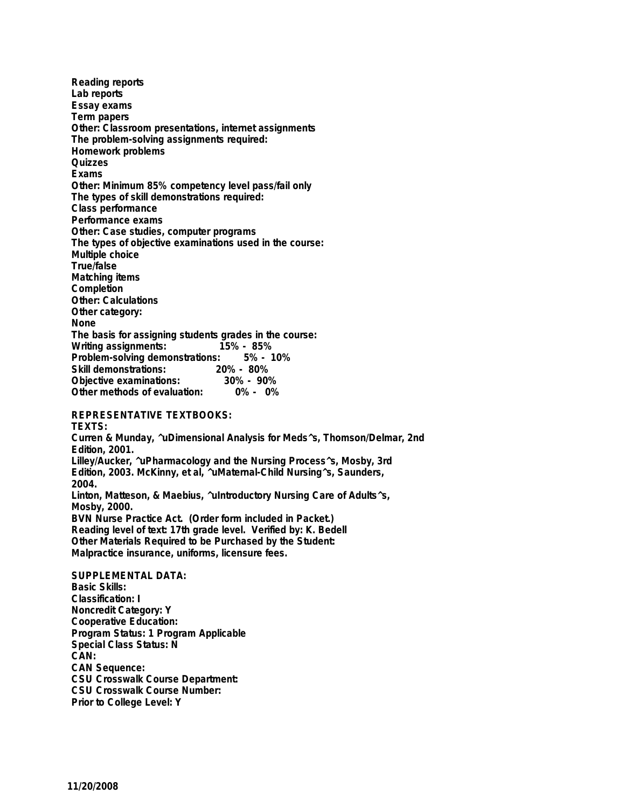**Reading reports Lab reports Essay exams Term papers Other: Classroom presentations, internet assignments The problem-solving assignments required: Homework problems Quizzes Exams Other: Minimum 85% competency level pass/fail only The types of skill demonstrations required: Class performance Performance exams Other: Case studies, computer programs The types of objective examinations used in the course: Multiple choice True/false Matching items Completion Other: Calculations Other category: None The basis for assigning students grades in the course: Writing assignments: Problem-solving demonstrations: 5% - 10% Skill demonstrations: 20% - 80% Objective examinations: 30% - 90% Other methods of evaluation: 0% - 0%**

### **REPRESENTATIVE TEXTBOOKS:**

**TEXTS: Curren & Munday, ^uDimensional Analysis for Meds^s, Thomson/Delmar, 2nd Edition, 2001. Lilley/Aucker, ^uPharmacology and the Nursing Process^s, Mosby, 3rd Edition, 2003. McKinny, et al, ^uMaternal-Child Nursing^s, Saunders, 2004. Linton, Matteson, & Maebius, ^uIntroductory Nursing Care of Adults^s, Mosby, 2000. BVN Nurse Practice Act. (Order form included in Packet.) Reading level of text: 17th grade level. Verified by: K. Bedell Other Materials Required to be Purchased by the Student: Malpractice insurance, uniforms, licensure fees. SUPPLEMENTAL DATA: Basic Skills: Classification: I**

**Noncredit Category: Y Cooperative Education: Program Status: 1 Program Applicable Special Class Status: N CAN: CAN Sequence: CSU Crosswalk Course Department: CSU Crosswalk Course Number: Prior to College Level: Y**